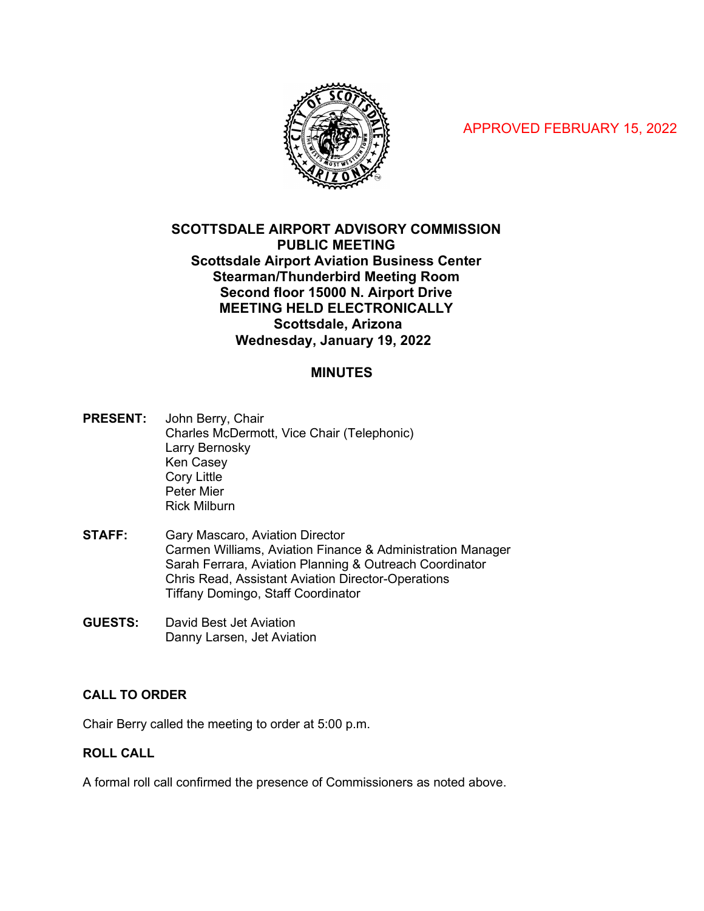APPROVED FEBRUARY 15, 2022



# **SCOTTSDALE AIRPORT ADVISORY COMMISSION PUBLIC MEETING Scottsdale Airport Aviation Business Center Stearman/Thunderbird Meeting Room Second floor 15000 N. Airport Drive MEETING HELD ELECTRONICALLY Scottsdale, Arizona Wednesday, January 19, 2022**

# **MINUTES**

**PRESENT:** John Berry, Chair Charles McDermott, Vice Chair (Telephonic) Larry Bernosky Ken Casey Cory Little Peter Mier Rick Milburn

- **STAFF:** Gary Mascaro, Aviation Director Carmen Williams, Aviation Finance & Administration Manager Sarah Ferrara, Aviation Planning & Outreach Coordinator Chris Read, Assistant Aviation Director-Operations Tiffany Domingo, Staff Coordinator
- **GUESTS:** David Best Jet Aviation Danny Larsen, Jet Aviation

## **CALL TO ORDER**

Chair Berry called the meeting to order at 5:00 p.m.

## **ROLL CALL**

A formal roll call confirmed the presence of Commissioners as noted above.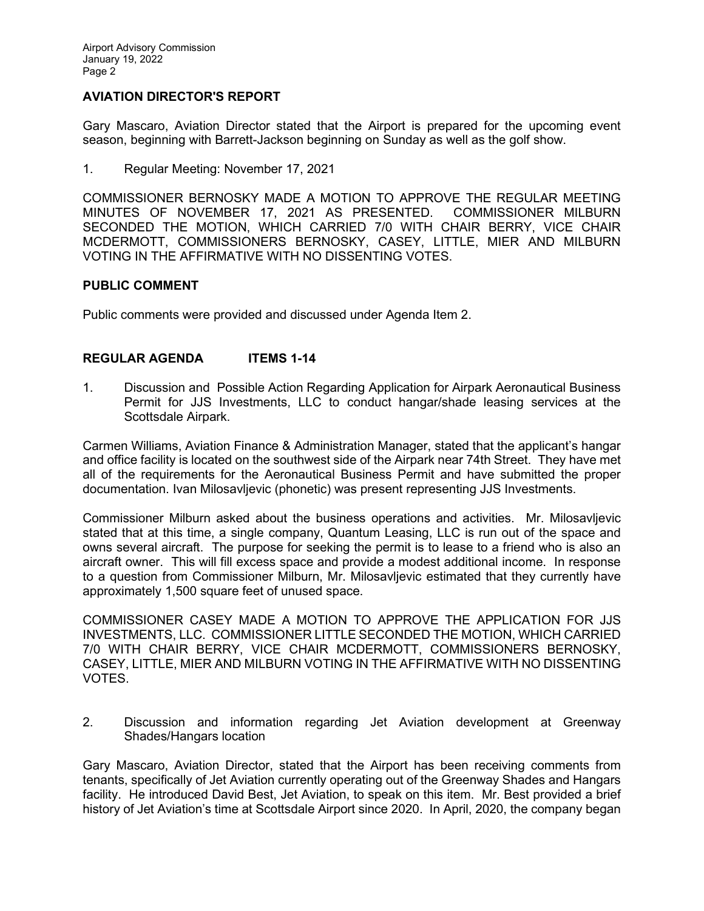# **AVIATION DIRECTOR'S REPORT**

Gary Mascaro, Aviation Director stated that the Airport is prepared for the upcoming event season, beginning with Barrett-Jackson beginning on Sunday as well as the golf show.

1. Regular Meeting: November 17, 2021

COMMISSIONER BERNOSKY MADE A MOTION TO APPROVE THE REGULAR MEETING MINUTES OF NOVEMBER 17, 2021 AS PRESENTED. COMMISSIONER MILBURN SECONDED THE MOTION, WHICH CARRIED 7/0 WITH CHAIR BERRY, VICE CHAIR MCDERMOTT, COMMISSIONERS BERNOSKY, CASEY, LITTLE, MIER AND MILBURN VOTING IN THE AFFIRMATIVE WITH NO DISSENTING VOTES.

### **PUBLIC COMMENT**

Public comments were provided and discussed under Agenda Item 2.

### **REGULAR AGENDA ITEMS 1-14**

1. Discussion and Possible Action Regarding Application for Airpark Aeronautical Business Permit for JJS Investments, LLC to conduct hangar/shade leasing services at the Scottsdale Airpark.

Carmen Williams, Aviation Finance & Administration Manager, stated that the applicant's hangar and office facility is located on the southwest side of the Airpark near 74th Street. They have met all of the requirements for the Aeronautical Business Permit and have submitted the proper documentation. Ivan Milosavljevic (phonetic) was present representing JJS Investments.

Commissioner Milburn asked about the business operations and activities. Mr. Milosavljevic stated that at this time, a single company, Quantum Leasing, LLC is run out of the space and owns several aircraft. The purpose for seeking the permit is to lease to a friend who is also an aircraft owner. This will fill excess space and provide a modest additional income. In response to a question from Commissioner Milburn, Mr. Milosavljevic estimated that they currently have approximately 1,500 square feet of unused space.

COMMISSIONER CASEY MADE A MOTION TO APPROVE THE APPLICATION FOR JJS INVESTMENTS, LLC. COMMISSIONER LITTLE SECONDED THE MOTION, WHICH CARRIED 7/0 WITH CHAIR BERRY, VICE CHAIR MCDERMOTT, COMMISSIONERS BERNOSKY, CASEY, LITTLE, MIER AND MILBURN VOTING IN THE AFFIRMATIVE WITH NO DISSENTING VOTES.

2. Discussion and information regarding Jet Aviation development at Greenway Shades/Hangars location

Gary Mascaro, Aviation Director, stated that the Airport has been receiving comments from tenants, specifically of Jet Aviation currently operating out of the Greenway Shades and Hangars facility. He introduced David Best, Jet Aviation, to speak on this item. Mr. Best provided a brief history of Jet Aviation's time at Scottsdale Airport since 2020. In April, 2020, the company began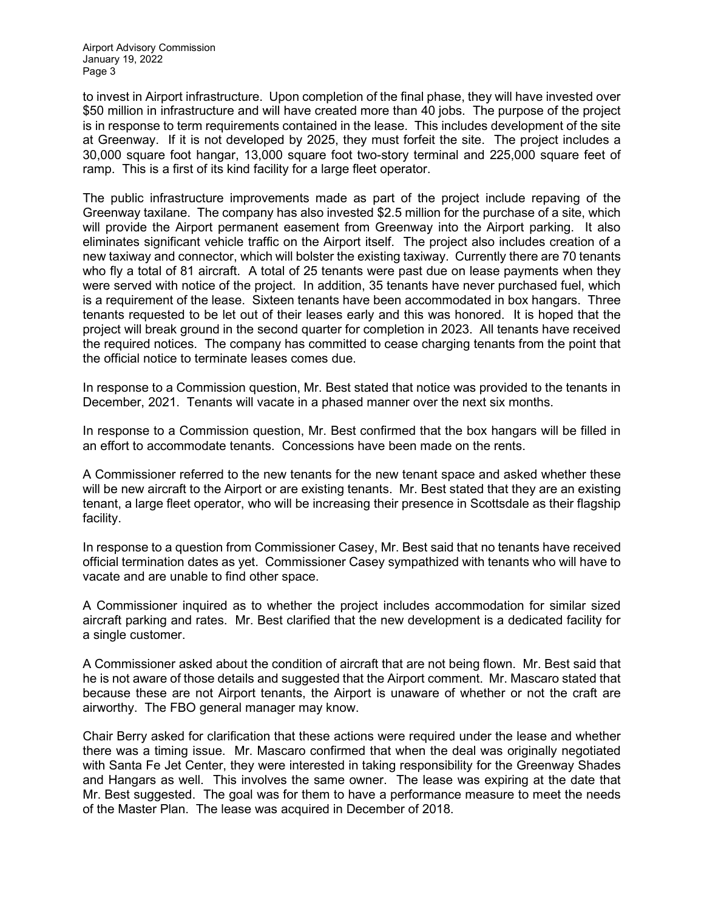to invest in Airport infrastructure. Upon completion of the final phase, they will have invested over \$50 million in infrastructure and will have created more than 40 jobs. The purpose of the project is in response to term requirements contained in the lease. This includes development of the site at Greenway. If it is not developed by 2025, they must forfeit the site. The project includes a 30,000 square foot hangar, 13,000 square foot two-story terminal and 225,000 square feet of ramp. This is a first of its kind facility for a large fleet operator.

The public infrastructure improvements made as part of the project include repaving of the Greenway taxilane. The company has also invested \$2.5 million for the purchase of a site, which will provide the Airport permanent easement from Greenway into the Airport parking. It also eliminates significant vehicle traffic on the Airport itself. The project also includes creation of a new taxiway and connector, which will bolster the existing taxiway. Currently there are 70 tenants who fly a total of 81 aircraft. A total of 25 tenants were past due on lease payments when they were served with notice of the project. In addition, 35 tenants have never purchased fuel, which is a requirement of the lease. Sixteen tenants have been accommodated in box hangars. Three tenants requested to be let out of their leases early and this was honored. It is hoped that the project will break ground in the second quarter for completion in 2023. All tenants have received the required notices. The company has committed to cease charging tenants from the point that the official notice to terminate leases comes due.

In response to a Commission question, Mr. Best stated that notice was provided to the tenants in December, 2021. Tenants will vacate in a phased manner over the next six months.

In response to a Commission question, Mr. Best confirmed that the box hangars will be filled in an effort to accommodate tenants. Concessions have been made on the rents.

A Commissioner referred to the new tenants for the new tenant space and asked whether these will be new aircraft to the Airport or are existing tenants. Mr. Best stated that they are an existing tenant, a large fleet operator, who will be increasing their presence in Scottsdale as their flagship facility.

In response to a question from Commissioner Casey, Mr. Best said that no tenants have received official termination dates as yet. Commissioner Casey sympathized with tenants who will have to vacate and are unable to find other space.

A Commissioner inquired as to whether the project includes accommodation for similar sized aircraft parking and rates. Mr. Best clarified that the new development is a dedicated facility for a single customer.

A Commissioner asked about the condition of aircraft that are not being flown. Mr. Best said that he is not aware of those details and suggested that the Airport comment. Mr. Mascaro stated that because these are not Airport tenants, the Airport is unaware of whether or not the craft are airworthy. The FBO general manager may know.

Chair Berry asked for clarification that these actions were required under the lease and whether there was a timing issue. Mr. Mascaro confirmed that when the deal was originally negotiated with Santa Fe Jet Center, they were interested in taking responsibility for the Greenway Shades and Hangars as well. This involves the same owner. The lease was expiring at the date that Mr. Best suggested. The goal was for them to have a performance measure to meet the needs of the Master Plan. The lease was acquired in December of 2018.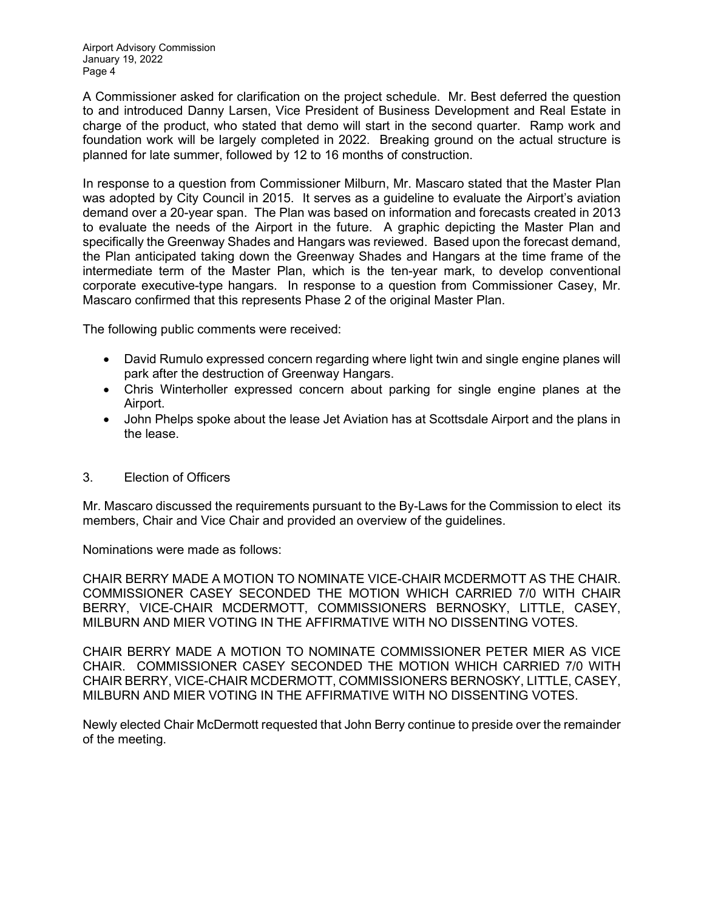A Commissioner asked for clarification on the project schedule. Mr. Best deferred the question to and introduced Danny Larsen, Vice President of Business Development and Real Estate in charge of the product, who stated that demo will start in the second quarter. Ramp work and foundation work will be largely completed in 2022. Breaking ground on the actual structure is planned for late summer, followed by 12 to 16 months of construction.

In response to a question from Commissioner Milburn, Mr. Mascaro stated that the Master Plan was adopted by City Council in 2015. It serves as a guideline to evaluate the Airport's aviation demand over a 20-year span. The Plan was based on information and forecasts created in 2013 to evaluate the needs of the Airport in the future. A graphic depicting the Master Plan and specifically the Greenway Shades and Hangars was reviewed. Based upon the forecast demand, the Plan anticipated taking down the Greenway Shades and Hangars at the time frame of the intermediate term of the Master Plan, which is the ten-year mark, to develop conventional corporate executive-type hangars. In response to a question from Commissioner Casey, Mr. Mascaro confirmed that this represents Phase 2 of the original Master Plan.

The following public comments were received:

- David Rumulo expressed concern regarding where light twin and single engine planes will park after the destruction of Greenway Hangars.
- Chris Winterholler expressed concern about parking for single engine planes at the Airport.
- John Phelps spoke about the lease Jet Aviation has at Scottsdale Airport and the plans in the lease.

## 3. Election of Officers

Mr. Mascaro discussed the requirements pursuant to the By-Laws for the Commission to elect its members, Chair and Vice Chair and provided an overview of the guidelines.

Nominations were made as follows:

CHAIR BERRY MADE A MOTION TO NOMINATE VICE-CHAIR MCDERMOTT AS THE CHAIR. COMMISSIONER CASEY SECONDED THE MOTION WHICH CARRIED 7/0 WITH CHAIR BERRY, VICE-CHAIR MCDERMOTT, COMMISSIONERS BERNOSKY, LITTLE, CASEY, MILBURN AND MIER VOTING IN THE AFFIRMATIVE WITH NO DISSENTING VOTES.

CHAIR BERRY MADE A MOTION TO NOMINATE COMMISSIONER PETER MIER AS VICE CHAIR. COMMISSIONER CASEY SECONDED THE MOTION WHICH CARRIED 7/0 WITH CHAIR BERRY, VICE-CHAIR MCDERMOTT, COMMISSIONERS BERNOSKY, LITTLE, CASEY, MILBURN AND MIER VOTING IN THE AFFIRMATIVE WITH NO DISSENTING VOTES.

Newly elected Chair McDermott requested that John Berry continue to preside over the remainder of the meeting.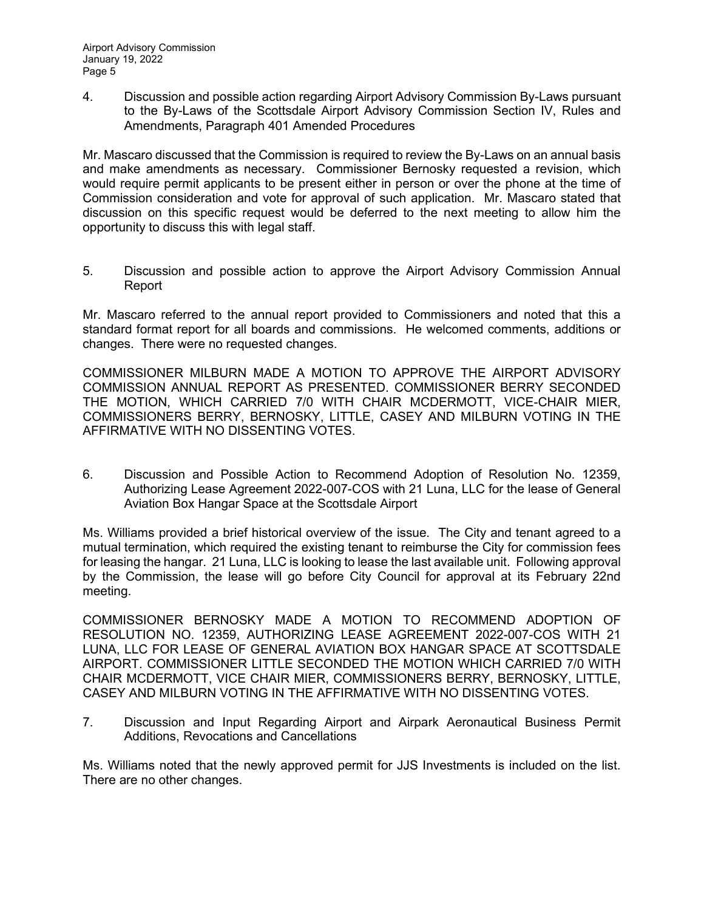4. Discussion and possible action regarding Airport Advisory Commission By-Laws pursuant to the By-Laws of the Scottsdale Airport Advisory Commission Section IV, Rules and Amendments, Paragraph 401 Amended Procedures

Mr. Mascaro discussed that the Commission is required to review the By-Laws on an annual basis and make amendments as necessary. Commissioner Bernosky requested a revision, which would require permit applicants to be present either in person or over the phone at the time of Commission consideration and vote for approval of such application. Mr. Mascaro stated that discussion on this specific request would be deferred to the next meeting to allow him the opportunity to discuss this with legal staff.

5. Discussion and possible action to approve the Airport Advisory Commission Annual Report

Mr. Mascaro referred to the annual report provided to Commissioners and noted that this a standard format report for all boards and commissions. He welcomed comments, additions or changes. There were no requested changes.

COMMISSIONER MILBURN MADE A MOTION TO APPROVE THE AIRPORT ADVISORY COMMISSION ANNUAL REPORT AS PRESENTED. COMMISSIONER BERRY SECONDED THE MOTION, WHICH CARRIED 7/0 WITH CHAIR MCDERMOTT, VICE-CHAIR MIER, COMMISSIONERS BERRY, BERNOSKY, LITTLE, CASEY AND MILBURN VOTING IN THE AFFIRMATIVE WITH NO DISSENTING VOTES.

6. Discussion and Possible Action to Recommend Adoption of Resolution No. 12359, Authorizing Lease Agreement 2022-007-COS with 21 Luna, LLC for the lease of General Aviation Box Hangar Space at the Scottsdale Airport

Ms. Williams provided a brief historical overview of the issue. The City and tenant agreed to a mutual termination, which required the existing tenant to reimburse the City for commission fees for leasing the hangar. 21 Luna, LLC is looking to lease the last available unit. Following approval by the Commission, the lease will go before City Council for approval at its February 22nd meeting.

COMMISSIONER BERNOSKY MADE A MOTION TO RECOMMEND ADOPTION OF RESOLUTION NO. 12359, AUTHORIZING LEASE AGREEMENT 2022-007-COS WITH 21 LUNA, LLC FOR LEASE OF GENERAL AVIATION BOX HANGAR SPACE AT SCOTTSDALE AIRPORT. COMMISSIONER LITTLE SECONDED THE MOTION WHICH CARRIED 7/0 WITH CHAIR MCDERMOTT, VICE CHAIR MIER, COMMISSIONERS BERRY, BERNOSKY, LITTLE, CASEY AND MILBURN VOTING IN THE AFFIRMATIVE WITH NO DISSENTING VOTES.

7. Discussion and Input Regarding Airport and Airpark Aeronautical Business Permit Additions, Revocations and Cancellations

Ms. Williams noted that the newly approved permit for JJS Investments is included on the list. There are no other changes.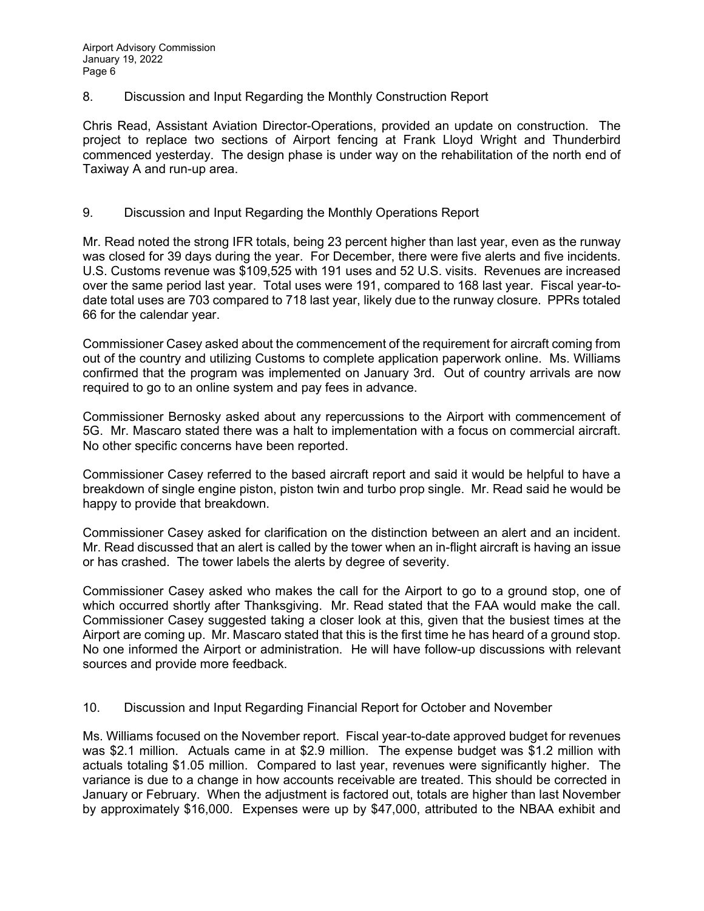8. Discussion and Input Regarding the Monthly Construction Report

Chris Read, Assistant Aviation Director-Operations, provided an update on construction. The project to replace two sections of Airport fencing at Frank Lloyd Wright and Thunderbird commenced yesterday. The design phase is under way on the rehabilitation of the north end of Taxiway A and run-up area.

### 9. Discussion and Input Regarding the Monthly Operations Report

Mr. Read noted the strong IFR totals, being 23 percent higher than last year, even as the runway was closed for 39 days during the year. For December, there were five alerts and five incidents. U.S. Customs revenue was \$109,525 with 191 uses and 52 U.S. visits. Revenues are increased over the same period last year. Total uses were 191, compared to 168 last year. Fiscal year-todate total uses are 703 compared to 718 last year, likely due to the runway closure. PPRs totaled 66 for the calendar year.

Commissioner Casey asked about the commencement of the requirement for aircraft coming from out of the country and utilizing Customs to complete application paperwork online. Ms. Williams confirmed that the program was implemented on January 3rd. Out of country arrivals are now required to go to an online system and pay fees in advance.

Commissioner Bernosky asked about any repercussions to the Airport with commencement of 5G. Mr. Mascaro stated there was a halt to implementation with a focus on commercial aircraft. No other specific concerns have been reported.

Commissioner Casey referred to the based aircraft report and said it would be helpful to have a breakdown of single engine piston, piston twin and turbo prop single. Mr. Read said he would be happy to provide that breakdown.

Commissioner Casey asked for clarification on the distinction between an alert and an incident. Mr. Read discussed that an alert is called by the tower when an in-flight aircraft is having an issue or has crashed. The tower labels the alerts by degree of severity.

Commissioner Casey asked who makes the call for the Airport to go to a ground stop, one of which occurred shortly after Thanksgiving. Mr. Read stated that the FAA would make the call. Commissioner Casey suggested taking a closer look at this, given that the busiest times at the Airport are coming up. Mr. Mascaro stated that this is the first time he has heard of a ground stop. No one informed the Airport or administration. He will have follow-up discussions with relevant sources and provide more feedback.

### 10. Discussion and Input Regarding Financial Report for October and November

Ms. Williams focused on the November report. Fiscal year-to-date approved budget for revenues was \$2.1 million. Actuals came in at \$2.9 million. The expense budget was \$1.2 million with actuals totaling \$1.05 million. Compared to last year, revenues were significantly higher. The variance is due to a change in how accounts receivable are treated. This should be corrected in January or February. When the adjustment is factored out, totals are higher than last November by approximately \$16,000. Expenses were up by \$47,000, attributed to the NBAA exhibit and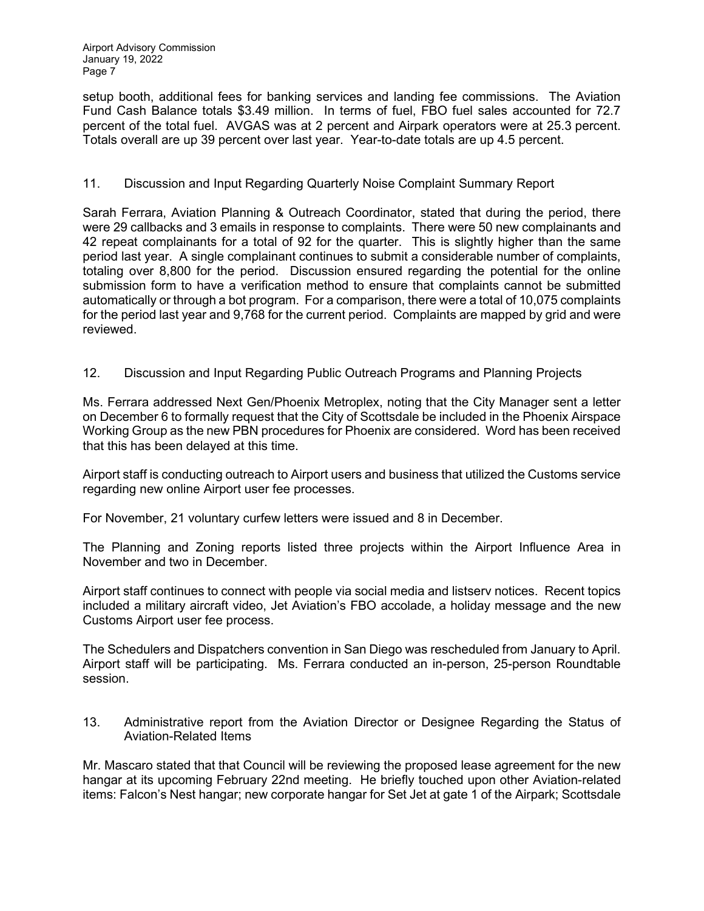setup booth, additional fees for banking services and landing fee commissions. The Aviation Fund Cash Balance totals \$3.49 million. In terms of fuel, FBO fuel sales accounted for 72.7 percent of the total fuel. AVGAS was at 2 percent and Airpark operators were at 25.3 percent. Totals overall are up 39 percent over last year. Year-to-date totals are up 4.5 percent.

## 11. Discussion and Input Regarding Quarterly Noise Complaint Summary Report

Sarah Ferrara, Aviation Planning & Outreach Coordinator, stated that during the period, there were 29 callbacks and 3 emails in response to complaints. There were 50 new complainants and 42 repeat complainants for a total of 92 for the quarter. This is slightly higher than the same period last year. A single complainant continues to submit a considerable number of complaints, totaling over 8,800 for the period. Discussion ensured regarding the potential for the online submission form to have a verification method to ensure that complaints cannot be submitted automatically or through a bot program. For a comparison, there were a total of 10,075 complaints for the period last year and 9,768 for the current period. Complaints are mapped by grid and were reviewed.

# 12. Discussion and Input Regarding Public Outreach Programs and Planning Projects

Ms. Ferrara addressed Next Gen/Phoenix Metroplex, noting that the City Manager sent a letter on December 6 to formally request that the City of Scottsdale be included in the Phoenix Airspace Working Group as the new PBN procedures for Phoenix are considered. Word has been received that this has been delayed at this time.

Airport staff is conducting outreach to Airport users and business that utilized the Customs service regarding new online Airport user fee processes.

For November, 21 voluntary curfew letters were issued and 8 in December.

The Planning and Zoning reports listed three projects within the Airport Influence Area in November and two in December.

Airport staff continues to connect with people via social media and listserv notices. Recent topics included a military aircraft video, Jet Aviation's FBO accolade, a holiday message and the new Customs Airport user fee process.

The Schedulers and Dispatchers convention in San Diego was rescheduled from January to April. Airport staff will be participating. Ms. Ferrara conducted an in-person, 25-person Roundtable session.

13. Administrative report from the Aviation Director or Designee Regarding the Status of Aviation-Related Items

Mr. Mascaro stated that that Council will be reviewing the proposed lease agreement for the new hangar at its upcoming February 22nd meeting. He briefly touched upon other Aviation-related items: Falcon's Nest hangar; new corporate hangar for Set Jet at gate 1 of the Airpark; Scottsdale